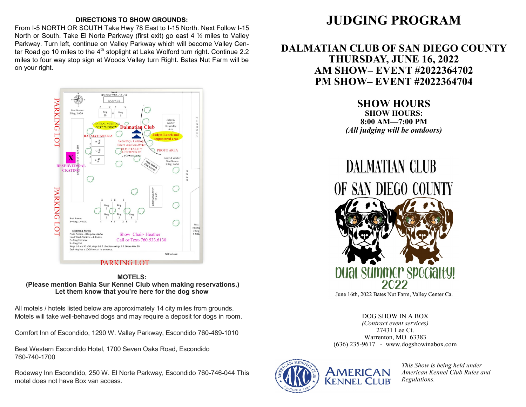#### **DIRECTIONS TO SHOW GROUNDS:**

From I-5 NORTH OR SOUTH Take Hwy 78 East to I-15 North. Next Follow I-15 North or South. Take El Norte Parkway (first exit) go east 4 ½ miles to Valley Parkway. Turn left, continue on Valley Parkway which will become Valley Center Road go 10 miles to the  $4<sup>th</sup>$  stoplight at Lake Wolford turn right. Continue 2.2 miles to four way stop sign at Woods Valley turn Right. Bates Nut Farm will be on your right.



#### **MOTELS: (Please mention Bahia Sur Kennel Club when making reservations.) Let them know that you're here for the dog show**

All motels / hotels listed below are approximately 14 city miles from grounds. Motels will take well-behaved dogs and may require a deposit for dogs in room.

Comfort Inn of Escondido, 1290 W. Valley Parkway, Escondido 760-489-1010

Best Western Escondido Hotel, 1700 Seven Oaks Road, Escondido 760-740-1700

Rodeway Inn Escondido, 250 W. El Norte Parkway, Escondido 760-746-044 This motel does not have Box van access.

# **JUDGING PROGRAM**

## **DALMATIAN CLUB OF SAN DIEGO COUNTY THURSDAY, JUNE 16, 2022 AM SHOW– EVENT #2022364702 PM SHOW– EVENT #2022364704**

**SHOW HOURS**

**SHOW HOURS: 8:00 AM—7:00 PM** *(All judging will be outdoors)*

**DALMATIAN CLUB** OF SAN DIEGO COUNTY puat summer specialty!

June 16th, 2022 Bates Nut Farm, Valley Center Ca.

DOG SHOW IN A BOX *(Contract event services)* 27431 Lee Ct. Warrenton, MO 63383 (636) 235-9617 - www.dogshowinabox.com



*This Show is being held under American Kennel Club Rules and Regulations.*